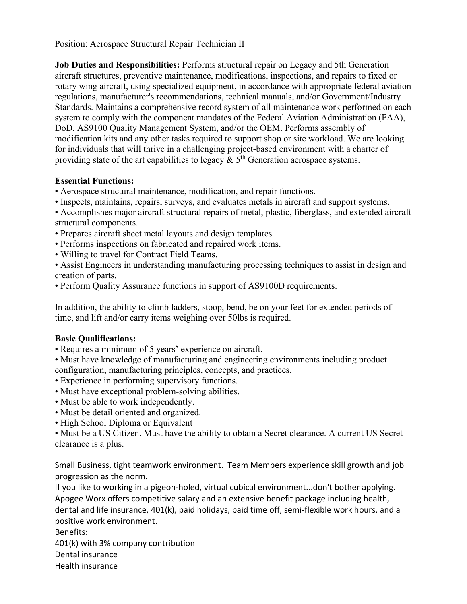Position: Aerospace Structural Repair Technician II

**Job Duties and Responsibilities:** Performs structural repair on Legacy and 5th Generation aircraft structures, preventive maintenance, modifications, inspections, and repairs to fixed or rotary wing aircraft, using specialized equipment, in accordance with appropriate federal aviation regulations, manufacturer's recommendations, technical manuals, and/or Government/Industry Standards. Maintains a comprehensive record system of all maintenance work performed on each system to comply with the component mandates of the Federal Aviation Administration (FAA), DoD, AS9100 Quality Management System, and/or the OEM. Performs assembly of modification kits and any other tasks required to support shop or site workload. We are looking for individuals that will thrive in a challenging project-based environment with a charter of providing state of the art capabilities to legacy  $\&$  5<sup>th</sup> Generation aerospace systems.

## **Essential Functions:**

- Aerospace structural maintenance, modification, and repair functions.
- Inspects, maintains, repairs, surveys, and evaluates metals in aircraft and support systems.
- Accomplishes major aircraft structural repairs of metal, plastic, fiberglass, and extended aircraft structural components.
- Prepares aircraft sheet metal layouts and design templates.
- Performs inspections on fabricated and repaired work items.
- Willing to travel for Contract Field Teams.
- Assist Engineers in understanding manufacturing processing techniques to assist in design and creation of parts.
- Perform Quality Assurance functions in support of AS9100D requirements.

In addition, the ability to climb ladders, stoop, bend, be on your feet for extended periods of time, and lift and/or carry items weighing over 50lbs is required.

## **Basic Qualifications:**

- Requires a minimum of 5 years' experience on aircraft.
- Must have knowledge of manufacturing and engineering environments including product configuration, manufacturing principles, concepts, and practices.
- Experience in performing supervisory functions.
- Must have exceptional problem-solving abilities.
- Must be able to work independently.
- Must be detail oriented and organized.
- High School Diploma or Equivalent

• Must be a US Citizen. Must have the ability to obtain a Secret clearance. A current US Secret clearance is a plus.

Small Business, tight teamwork environment. Team Members experience skill growth and job progression as the norm.

If you like to working in a pigeon-holed, virtual cubical environment...don't bother applying. Apogee Worx offers competitive salary and an extensive benefit package including health, dental and life insurance, 401(k), paid holidays, paid time off, semi-flexible work hours, and a positive work environment.

Benefits: 401(k) with 3% company contribution Dental insurance Health insurance